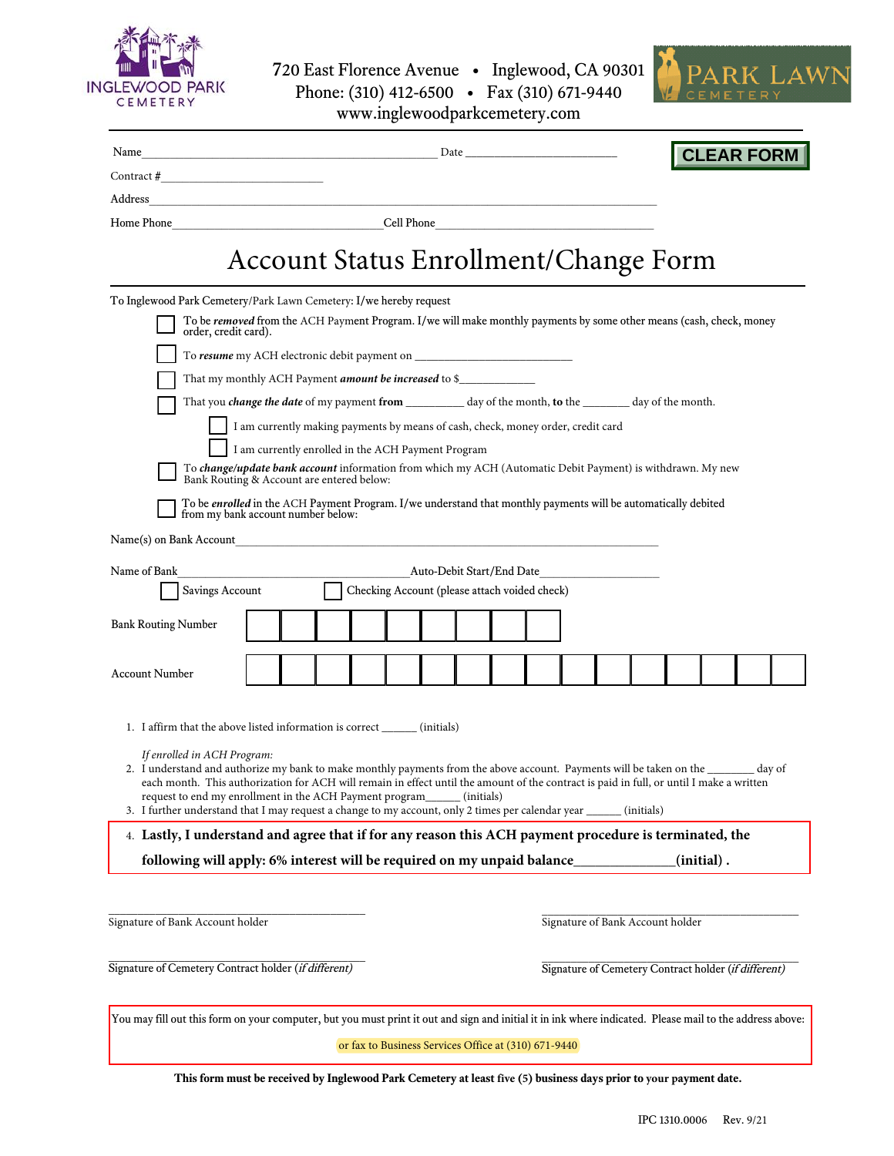

720 East Florence Avenue • Inglewood, CA 90301 Phone: (310) 412-6500 • Fax (310) 671-9440



www.inglewoodparkcemetery.com

| Date<br>Contract # $\qquad \qquad$<br>Address<br><u> 1989 - Johann Stoff, deutscher Stoff, der Stoff, der Stoff, der Stoff, der Stoff, der Stoff, der Stoff, der S</u><br>Home Phone <b>Example 2</b> Cell Phone <b>Cell Phone</b> |                                                                                  |  |  |                                               |  |                                                      |            | <b>CLEAR FORM</b> |  |
|------------------------------------------------------------------------------------------------------------------------------------------------------------------------------------------------------------------------------------|----------------------------------------------------------------------------------|--|--|-----------------------------------------------|--|------------------------------------------------------|------------|-------------------|--|
|                                                                                                                                                                                                                                    |                                                                                  |  |  |                                               |  |                                                      |            |                   |  |
|                                                                                                                                                                                                                                    |                                                                                  |  |  |                                               |  |                                                      |            |                   |  |
|                                                                                                                                                                                                                                    |                                                                                  |  |  |                                               |  |                                                      |            |                   |  |
|                                                                                                                                                                                                                                    | <b>Account Status Enrollment/Change Form</b>                                     |  |  |                                               |  |                                                      |            |                   |  |
| To Inglewood Park Cemetery/Park Lawn Cemetery: I/we hereby request                                                                                                                                                                 |                                                                                  |  |  |                                               |  |                                                      |            |                   |  |
| To be removed from the ACH Payment Program. I/we will make monthly payments by some other means (cash, check, money<br>order, credit card).                                                                                        |                                                                                  |  |  |                                               |  |                                                      |            |                   |  |
|                                                                                                                                                                                                                                    |                                                                                  |  |  |                                               |  |                                                      |            |                   |  |
| That my monthly ACH Payment <i>amount be increased</i> to \$                                                                                                                                                                       |                                                                                  |  |  |                                               |  |                                                      |            |                   |  |
| That you <i>change the date</i> of my payment from __________ day of the month, to the _______ day of the month.                                                                                                                   |                                                                                  |  |  |                                               |  |                                                      |            |                   |  |
|                                                                                                                                                                                                                                    | I am currently making payments by means of cash, check, money order, credit card |  |  |                                               |  |                                                      |            |                   |  |
|                                                                                                                                                                                                                                    | I am currently enrolled in the ACH Payment Program                               |  |  |                                               |  |                                                      |            |                   |  |
| To change/update bank account information from which my ACH (Automatic Debit Payment) is withdrawn. My new<br>Bank Routing & Account are entered below:                                                                            |                                                                                  |  |  |                                               |  |                                                      |            |                   |  |
| To be enrolled in the ACH Payment Program. I/we understand that monthly payments will be automatically debited                                                                                                                     |                                                                                  |  |  |                                               |  |                                                      |            |                   |  |
| from my bank account number below:                                                                                                                                                                                                 |                                                                                  |  |  |                                               |  |                                                      |            |                   |  |
| Name(s) on Bank Account                                                                                                                                                                                                            |                                                                                  |  |  |                                               |  |                                                      |            |                   |  |
| Name of Bank                                                                                                                                                                                                                       |                                                                                  |  |  | Auto-Debit Start/End Date                     |  |                                                      |            |                   |  |
| Savings Account                                                                                                                                                                                                                    |                                                                                  |  |  | Checking Account (please attach voided check) |  |                                                      |            |                   |  |
| <b>Bank Routing Number</b>                                                                                                                                                                                                         |                                                                                  |  |  |                                               |  |                                                      |            |                   |  |
|                                                                                                                                                                                                                                    |                                                                                  |  |  |                                               |  |                                                      |            |                   |  |
| <b>Account Number</b>                                                                                                                                                                                                              |                                                                                  |  |  |                                               |  |                                                      |            |                   |  |
|                                                                                                                                                                                                                                    |                                                                                  |  |  |                                               |  |                                                      |            |                   |  |
|                                                                                                                                                                                                                                    |                                                                                  |  |  |                                               |  |                                                      |            |                   |  |
| 1. I affirm that the above listed information is correct ________ (initials)                                                                                                                                                       |                                                                                  |  |  |                                               |  |                                                      |            |                   |  |
| If enrolled in ACH Program:<br>2. I understand and authorize my bank to make monthly payments from the above account. Payments will be taken on the ________ day of                                                                |                                                                                  |  |  |                                               |  |                                                      |            |                   |  |
| each month. This authorization for ACH will remain in effect until the amount of the contract is paid in full, or until I make a written<br>request to end my enrollment in the ACH Payment program_______ (initials)              |                                                                                  |  |  |                                               |  |                                                      |            |                   |  |
| 3. I further understand that I may request a change to my account, only 2 times per calendar year ______                                                                                                                           |                                                                                  |  |  |                                               |  |                                                      | (initials) |                   |  |
| 4. Lastly, I understand and agree that if for any reason this ACH payment procedure is terminated, the                                                                                                                             |                                                                                  |  |  |                                               |  |                                                      |            |                   |  |
| following will apply: 6% interest will be required on my unpaid balance                                                                                                                                                            |                                                                                  |  |  |                                               |  |                                                      |            | $(i$ nitial $)$ . |  |
|                                                                                                                                                                                                                                    |                                                                                  |  |  |                                               |  |                                                      |            |                   |  |
|                                                                                                                                                                                                                                    |                                                                                  |  |  |                                               |  |                                                      |            |                   |  |
| Signature of Bank Account holder                                                                                                                                                                                                   |                                                                                  |  |  |                                               |  | Signature of Bank Account holder                     |            |                   |  |
| Signature of Cemetery Contract holder (if different)                                                                                                                                                                               |                                                                                  |  |  |                                               |  |                                                      |            |                   |  |
|                                                                                                                                                                                                                                    |                                                                                  |  |  |                                               |  | Signature of Cemetery Contract holder (if different) |            |                   |  |
| You may fill out this form on your computer, but you must print it out and sign and initial it in ink where indicated. Please mail to the address above:                                                                           |                                                                                  |  |  |                                               |  |                                                      |            |                   |  |

or fax to Business Services Office at (310) 671-9440

**This form must be received by Inglewood Park Cemetery at least five (5) business days prior to your payment date.**